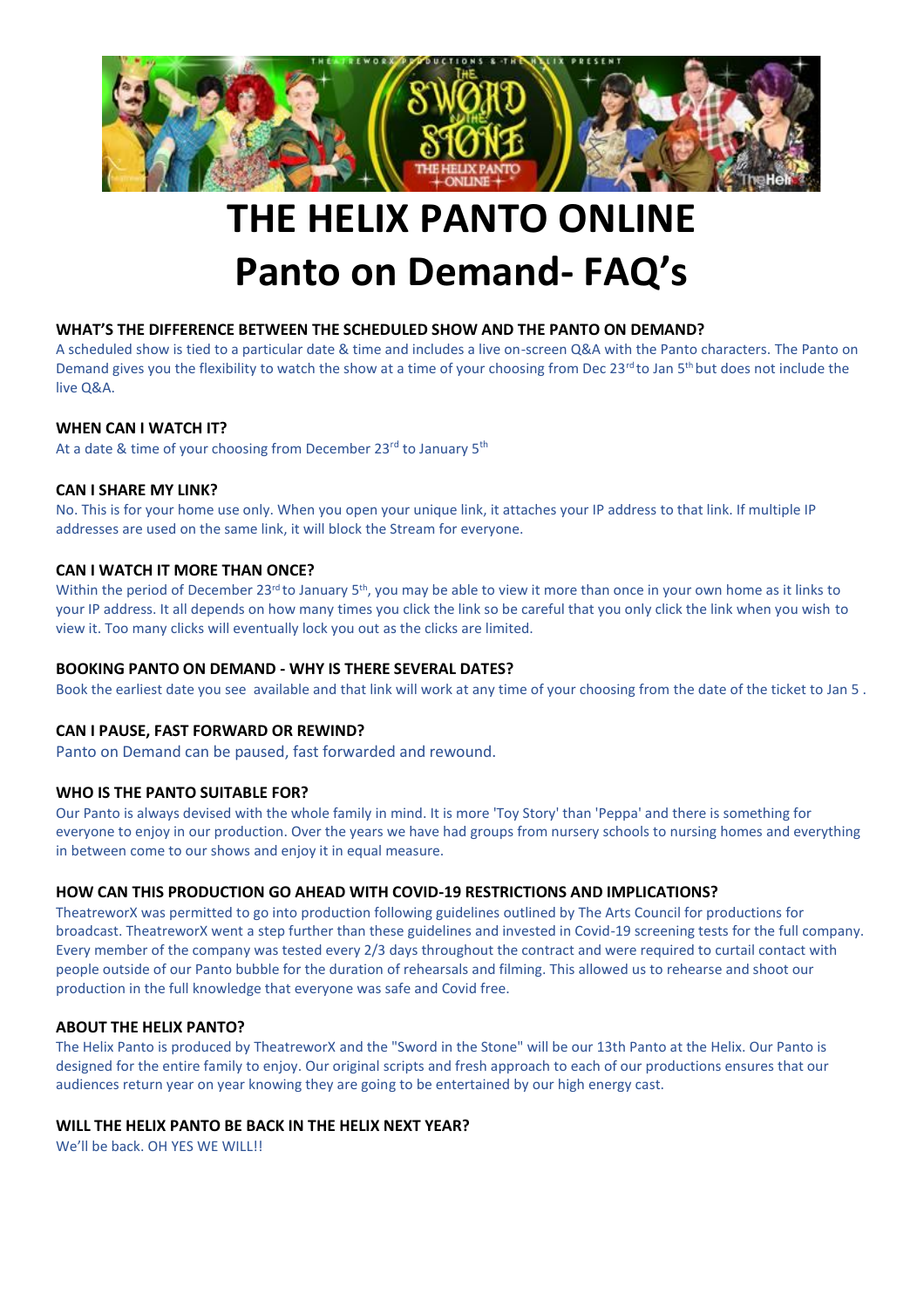

# **THE HELIX PANTO ONLINE Panto on Demand- FAQ's**

#### **WHAT'S THE DIFFERENCE BETWEEN THE SCHEDULED SHOW AND THE PANTO ON DEMAND?**

A scheduled show is tied to a particular date & time and includes a live on-screen Q&A with the Panto characters. The Panto on Demand gives you the flexibility to watch the show at a time of your choosing from Dec 23<sup>rd</sup> to Jan 5<sup>th</sup> but does not include the live Q&A.

#### **WHEN CAN I WATCH IT?**

At a date & time of your choosing from December 23<sup>rd</sup> to January 5<sup>th</sup>

#### **CAN I SHARE MY LINK?**

No. This is for your home use only. When you open your unique link, it attaches your IP address to that link. If multiple IP addresses are used on the same link, it will block the Stream for everyone.

#### **CAN I WATCH IT MORE THAN ONCE?**

Within the period of December 23<sup>rd</sup> to January 5<sup>th</sup>, you may be able to view it more than once in your own home as it links to your IP address. It all depends on how many times you click the link so be careful that you only click the link when you wish to view it. Too many clicks will eventually lock you out as the clicks are limited.

#### **BOOKING PANTO ON DEMAND - WHY IS THERE SEVERAL DATES?**

Book the earliest date you see available and that link will work at any time of your choosing from the date of the ticket to Jan 5 .

#### **CAN I PAUSE, FAST FORWARD OR REWIND?**

Panto on Demand can be paused, fast forwarded and rewound.

#### **WHO IS THE PANTO SUITABLE FOR?**

Our Panto is always devised with the whole family in mind. It is more 'Toy Story' than 'Peppa' and there is something for everyone to enjoy in our production. Over the years we have had groups from nursery schools to nursing homes and everything in between come to our shows and enjoy it in equal measure.

#### **HOW CAN THIS PRODUCTION GO AHEAD WITH COVID-19 RESTRICTIONS AND IMPLICATIONS?**

TheatreworX was permitted to go into production following guidelines outlined by The Arts Council for productions for broadcast. TheatreworX went a step further than these guidelines and invested in Covid-19 screening tests for the full company. Every member of the company was tested every 2/3 days throughout the contract and were required to curtail contact with people outside of our Panto bubble for the duration of rehearsals and filming. This allowed us to rehearse and shoot our production in the full knowledge that everyone was safe and Covid free.

#### **ABOUT THE HELIX PANTO?**

The Helix Panto is produced by TheatreworX and the "Sword in the Stone" will be our 13th Panto at the Helix. Our Panto is designed for the entire family to enjoy. Our original scripts and fresh approach to each of our productions ensures that our audiences return year on year knowing they are going to be entertained by our high energy cast.

#### **WILL THE HELIX PANTO BE BACK IN THE HELIX NEXT YEAR?**

We'll be back. OH YES WE WILL!!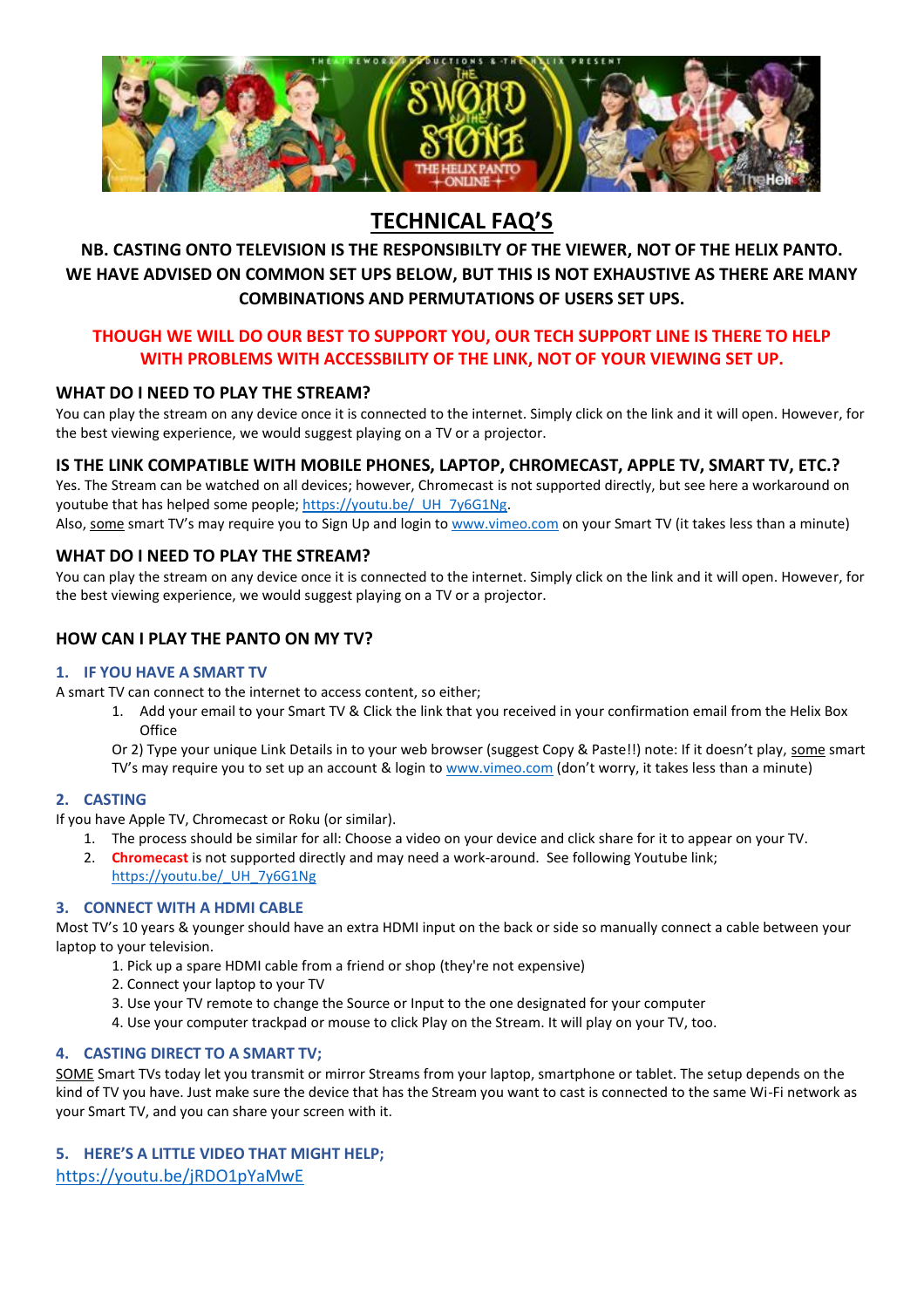

### **TECHNICAL FAQ'S**

#### **NB. CASTING ONTO TELEVISION IS THE RESPONSIBILTY OF THE VIEWER, NOT OF THE HELIX PANTO. WE HAVE ADVISED ON COMMON SET UPS BELOW, BUT THIS IS NOT EXHAUSTIVE AS THERE ARE MANY COMBINATIONS AND PERMUTATIONS OF USERS SET UPS.**

#### **THOUGH WE WILL DO OUR BEST TO SUPPORT YOU, OUR TECH SUPPORT LINE IS THERE TO HELP WITH PROBLEMS WITH ACCESSBILITY OF THE LINK, NOT OF YOUR VIEWING SET UP.**

#### **WHAT DO I NEED TO PLAY THE STREAM?**

You can play the stream on any device once it is connected to the internet. Simply click on the link and it will open. However, for the best viewing experience, we would suggest playing on a TV or a projector.

#### **IS THE LINK COMPATIBLE WITH MOBILE PHONES, LAPTOP, CHROMECAST, APPLE TV, SMART TV, ETC.?**

Yes. The Stream can be watched on all devices; however, Chromecast is not supported directly, but see here a workaround on youtube that has helped some people; https://youtu.be/ UH\_7y6G1Ng.

Also, some smart TV's may require you to Sign Up and login t[o www.vimeo.com](http://www.vimeo.com/) on your Smart TV (it takes less than a minute)

#### **WHAT DO I NEED TO PLAY THE STREAM?**

You can play the stream on any device once it is connected to the internet. Simply click on the link and it will open. However, for the best viewing experience, we would suggest playing on a TV or a projector.

#### **HOW CAN I PLAY THE PANTO ON MY TV?**

#### **1. IF YOU HAVE A SMART TV**

A smart TV can connect to the internet to access content, so either;

1. Add your email to your Smart TV & Click the link that you received in your confirmation email from the Helix Box **Office** 

Or 2) Type your unique Link Details in to your web browser (suggest Copy & Paste!!) note: If it doesn't play, some smart TV's may require you to set up an account & login t[o www.vimeo.com](http://www.vimeo.com/) (don't worry, it takes less than a minute)

#### **2. CASTING**

If you have Apple TV, Chromecast or Roku (or similar).

- 1. The process should be similar for all: Choose a video on your device and click share for it to appear on your TV.
- 2. **Chromecast** is not supported directly and may need a work-around. See following Youtube link;
	- [https://youtu.be/\\_UH\\_7y6G1Ng](https://youtu.be/_UH_7y6G1Ng)

#### **3. CONNECT WITH A HDMI CABLE**

Most TV's 10 years & younger should have an extra HDMI input on the back or side so manually connect a cable between your laptop to your television.

- 1. Pick up a spare HDMI cable from a friend or shop (they're not expensive)
- 2. Connect your laptop to your TV
- 3. Use your TV remote to change the Source or Input to the one designated for your computer
- 4. Use your computer trackpad or mouse to click Play on the Stream. It will play on your TV, too.

#### **4. CASTING DIRECT TO A SMART TV;**

SOME Smart TVs today let you transmit or mirror Streams from your laptop, smartphone or tablet. The setup depends on the kind of TV you have. Just make sure the device that has the Stream you want to cast is connected to the same Wi-Fi network as your Smart TV, and you can share your screen with it.

### **5. HERE'S A LITTLE VIDEO THAT MIGHT HELP;**

<https://youtu.be/jRDO1pYaMwE>